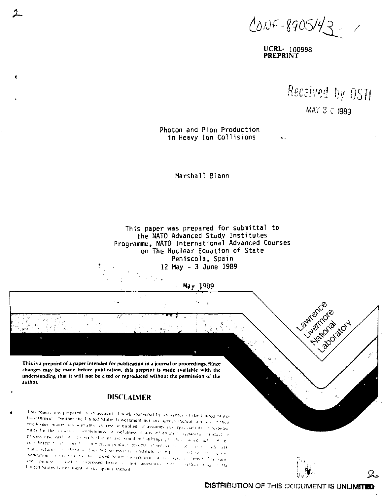$0.05 - 8905/42 - 7$ 

**UCRL- 100998** PREPRINT

 $\ddot{\phantom{a}}$ 

Received by OSTI

MAY 3 C 1989

Photon and Pion Production in Heavy Ion Collisions

Marshall Blann

This paper was prepared for submittal to the NATO Advanced Study Institutes Programme, NATO International Advanced Courses on The Nuclear Equation of State Peniscola, Spain 12 May - 3 June 1989



changes may be made before publication, this preprint is made available with the understanding that it will not be cited or reproduced without the permission of the author.

**r** 

# **DISCLAIMER**

This report was prepared as an account of work sponsored by an agency of the United States faovernment. Seither the United States Government nor any agency inered and any of their employees makes invocationts express in implied or assumes invocent antility in response bility for the alcotacy completeness or usefulness of any information of parature production process disclosed on or this<br>criticitation associated in turninger process one discussion in en e hereir (1933) specifical mineralis product process of service for additioner and ready maria ecturers of the rwise dies not necessarily constitute or mp. and racising goals netidation in this title the finited States favorational of all species between the care and pinions in eath recognised herein a not incossants have rested to see in the I nited States Government, it shougency thereof.

З.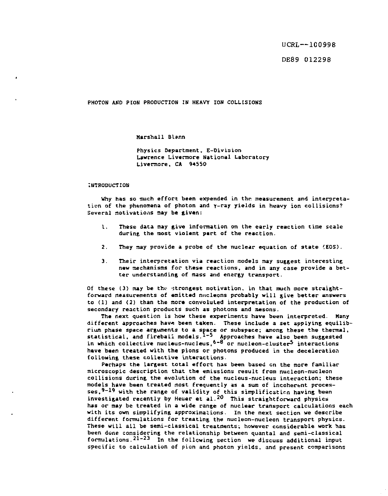UCRL —100998

DE89 012298

**PHOTON AND PION PRODUCTION IN HEAVY ION COLLISIONS** 

**Marshall Blann** 

**Physics Department, E-Division Lawrence Livermore National Laboratory**  Livermore, CA 94550

#### **INTRODUCTION**

**Why has so much effort been expended in the measurement and interpretation of the phenomena of photon and Y-ray yields in heavy ion collisions?**  Several motivations may be given:

- **1. These data nay give information on the early reaction time scale during the most violent part of the reaction.**
- **2. They may provide a probe of the nuclear equation of state (EOS).**
- **3. Their interpretation via reaction models may suggest interesting new mechanisms for these reactions, and in any case provide a better understanding of mass and energy transport.**

**Of these (3) may be the- strongest motivation, in that much more straightforward measurements of emitted nncleons probably will give better answers to (1) and (2) than the more convoluted interpretation of the production of secondary reaction products such as photons and mesons.** 

**The next question is how these experiments have been interpreted. Many different approaches havs been taken. These include a set applying equilibrium phase space arguments to a space or subspace; among these the thermal, statistical, and fireball models.1""5 Approaches have also been suggested in which collective nucleus-nucleus,6" <sup>8</sup> or nucleon-cluster5 interactions have been treated with the pions or photons produced in the deceleration following these collective interactions.** 

**Perhaps the largest total effort has been based en the more familiar microscopic description that the emissions result from nucleon-nucleon collisions during the evolution of the nucleus-nucleus interaction; these models have been treated most frequently as a sum of incoherent processes, 9-1 <sup>9</sup> with the range of validity of this simplification having been**  investigated recently by Heuer et al.<sup>20</sup> This straightforward physics **has or may be treated in a wide range of nuclear transport calculations each with its own simplifying approximations. In the next section we describe different formulations for treating the nucleon-nucleon transport physics. These will all be semi-classical treatments; however considerable work has been done considering the relationship between quantal and semi-classical**  formulations.<sup>21-23</sup> In the following section we discuss additional input **specific to calculation of pion and photon yields, and present comparisons**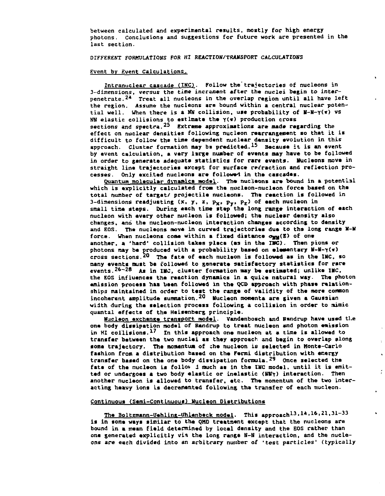**between calculated and experimental results, mostly for high energy photons. Conclusions and suggestions for future work are presented in the last section.** 

 $\ddot{\phantom{a}}$ 

s.  $\hat{\mathbf{k}}$  $\tilde{\epsilon}$ 

¥.

 $\bullet$ 

**DIFFERENT FORMULATIONS FOR HI REACTION/TRANSPORT CALCULATIONS** 

## **Event by Event Calculations.**

**Intranuclear cascade (IMC). Follow the trajectories of nucleons in 3-dimensions, versus the time increment after the nuclei begin to interpenetrate. 2\* Treat ail nucleons in the overlap region until all have left the region. Assume the nucleons are bound within a central nuclear potential well. When there is a** *HH* **collision, use probability of H-H-YC\*) VS NN elastic collisions to estimate the Y(« ) production cross**  sections and spectra.<sup>25</sup> Extreme approximations are made regarding the **effect on nuclear densities following nucleon rearrangement so that it is difficult to follow the time dependent nuclear density evolution in this approach. Cluster formation may ba predicted.<sup>1</sup> <sup>5</sup> Because it is an event by event calculation, a vary large number of events may have to be followed in order to generate adequate statistics for rare events. Nucleons move in straight line trajectories except for surface retraction and reflection processes. Only excited nucleons are followed in the cascades.** 

**Quantum molecular dynamics model. The nucleons are bound in a potential which is explicitly calculated from the nucleon-nucleon force based on the total number of target/ projectile nucleons. The reaction is followed in 3-dimensions readjusting (x, y, z, p<sub>x</sub>, p<sub>y</sub>, p<sub>z</sub>) of each nucleon in small time steps. During each time step the long range interaction of each nucleon with every other nucleon is followed; the nuclear density also changes, and the nucleon-nucleon interaction changes according to density and EOS. The nucleons move in curved trajectories due to the long range H-N**  force. When nucleons come within a fixed distance  $\sigma_{\text{mm}}(E)$  of one **another, a 'hard' collision takes place (as in the IMC). Then pions or photons may be produced with a probability based on eleawntary B-N-Y(\*> cross sections.<sup>2</sup> <sup>0</sup> The fate of each nucleon is followed as in the INC, so many events must be followed to generate satisfactory statistics for rare**  events.<sup>26-28</sup> As in IMC, cluster formation may be estimated; unlike IMC, the EOS influences the reaction dynamics in a quite natural way. The photon **emission process has been followed in the QCD approach with phase relation**ships maintained in order to test the range of validity of the more common incoherent amplitude summation.<sup>20</sup> Wucleon momenta are given a Gaussian **width during the selection process following a collision in order to mimic quantal effects of the Heisenberg principle.** 

**Nucleon exchange transport model. Vandenbosch and Randrup have used tl.e on\* body dissipation modal of Randrup to treat nucleon and photon emission**  in HI collisions.<sup>17</sup> In this approach one nucleon at a time is allowed to **transfer between the two nuclei as they approach and begin to overlap along**  some trajectory. The momentum of the nucleon is selected in Monte-Carlo **fashion from a distribution baaed on the Fermi distribution with energy transfer based on the one body dissipation formula.<sup>2</sup> <sup>9</sup> Once selected the fate of the nucleon is follov J much as in the INC model, until it is emitted or undergoes a two body elastic or inelastic (NVy) interaction. Then another nucleon is allowed to transfer, etc. The momentum of the two interacting heavy ions is decremented following tha transfer of each nucleon.** 

#### **Continuous (Semi-Continuous) Nucleon Distributions**

**12.** The Boltzmann-Uehling-Uhlenbeck model. This approach<sup>13</sup>, 14, 16, 21, 31-33 **is in some ways similar to the QMD treatment except that the nucleons are bound in a mean field determined by local density and the EOS rather than one generated explicitly via the long range N-N interaction, and the nucleons are each divided into an arbitrary nuiaber** *of* **'test particles' (typically**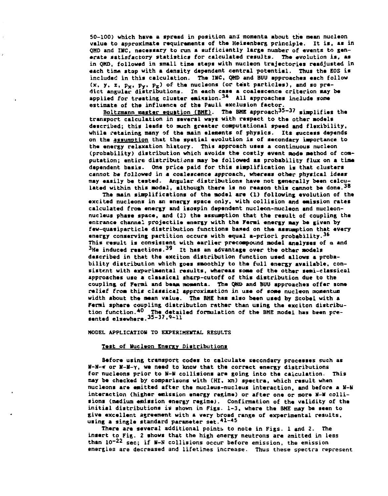**50-100) which have a spread in position ami momenta about the mean nucleon value to approximate requirements of the Heisenberg principle. It is, as in QHD and IMC, necessary to run a sufficiently large number of events to generate satisfactory statistics for calculated results. The evolution is, as in QHD, followed in small time steps with nucleon trajectories readjusted in each time step with a density dependant central potential. Thus the EOS is included in this calculation. Tha INC, QHD and BUU approaches each follow**   $(x, y, z, p_x, p_y, p_z)$  of the nucleons (or test particles), and so pre**dict angular distributions. In each case a coalescence criterion say be applied for treating cluster emission.3\* All approaches include some estimate of the influanca of the Pauli axclusion factor.** 

**Boltzmann master equation (BME). The BME approach 35-3 <sup>7</sup> simplifies the transport calculation in savaral ways with respect to the othar models described; this leads to much graatar computational speed and flexibility, while retaining many of tha main elements of physics. Its success depends on the assumption that the spatial evolution is of secondary importance to the energy relaxation history. This approach uses a continuous nucleon (probability) distribution which avoids the costly event mode method of computation; entire distributions may be followed as probability flux on a time dependent basis. One price paid for this simplification is that clusters cannot be followed in a coalescence approach, whereas other physical ideas may easily be tested. Angular distributions have not generally been calculated within this model, although there is no reason this cannot be done.<sup>3</sup> <sup>8</sup>**

**The main simplifications of the model are (1) following evolution of the excited nucleons in an energy space only, with collision and emission rates calculated from energy and isospin dependent nucleon-nucleon and nucleonnucleus phase space, and (£) tha assumption that the result of coupling the entrance channel projectile energy with the Fermi energy may be given by few-quasiparticle distribution functions baned on the assumption that every energy conserving partition occurs with equal a-priori probability.<sup>36</sup> This result is consistent with earlier precompound model analyses of a and <sup>3</sup> He induced reactions.<sup>3</sup> <sup>9</sup> it has an advantage over the other models described in that the exciton distribution function used allows a probability distribution which goes smoothly to the full energy available, consistent with experimental results, whereas some of the other semi-classical approaches use a classical sharp-cutoff of this distribution due to the coupling of Fermi and beam momenta. The QHft and BUU approaches offer some relief from this classical approximation in use of some nucleon moaentum width about the mean value. The BME has also been used by Scobel with a Fermi sphere coupling distribution rather than using tha exciton distribution function.<sup>4</sup> <sup>0</sup> The detailed formulation of the BHE model has been pre-sented elsewhere.3 5 " 3 7 ' <sup>9</sup> -ll** 

**MODEL APPLICATION TO EXPERIMENTAL RESULTS** 

## **Test of Nucleon Energy Distributions**

**Before using transport codes to calculate secondary processes such as N-M-« or N-N-Y , «• need to know that the correct energy distributions for nucleons prior to N-H collisions are going into the calculation. This may be checked by comparisons with (HI, xn) spectra, which result when nucleons are emitted after the nucleus-nucleus interaction, and before a N-U interaction (higher emission energy regime) or after one or more H-V collisions (medium emission energy regime). Confirmation of the validity of the initial distributions is shown in Figs. 1-3, where the BME may be seen to give excellent agreement with a very broad range of experimental results, using a single standard parameter set. 41-4 <sup>5</sup>**

There are several additional points to note in Figs. 1 and 2. The **insert to Fig. 2 shows that the high energy neutrons are emitted in Less**  than 10<sup>-22</sup> sec; if N-N collisions occur before emission, the emission **energies are decreased and lifetimes increase. Thus these spectra represent**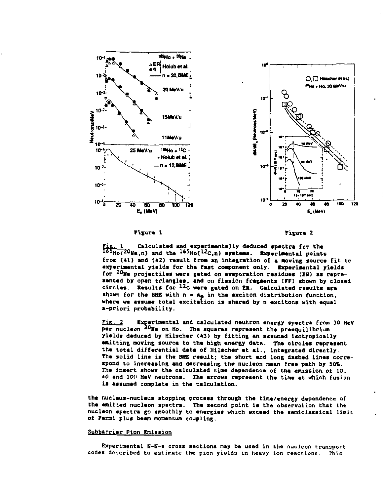

#### Fixure 1

Fizura 2

Calculated and experimentally deduced spectra for the  $\frac{F_{1}F_{2}}{165H_{0}(20 \text{Ne.n})}$  and the  $\frac{165H_{0}(12C,n)}{165H_{0}(12C,n)}$  systems. Experimental points from (41) and (42) result from an integration of a moving source fit to experimental yields for the fast component only. Experimental yields for <sup>20</sup>Ne projectiles were geted on evaporation residues (ER) as represented by open triangles, and on fission fragments (FF) shown by closed circles. Results for 12C were gated on ER. Calculated results are shown for the BME with  $n = A_p$  in the exciton distribution function, where we assume total excitation is shared by n excitons with equal a-priori probability.

 $Fix.2$ Experimental and calculated neutron energy spectra from 30 HeV per nucleon 20Me on Ho. The squares represent the preequilibrium yields deduced by Hilscher (43) by fitting an assumed isotropically emitting moving source to the high energy data. The circles represent the total differential data of Hilscher et al., integrated directly. The solid line is the BME result; the short and long dashed lines correspond to increasing and decreasing the nucleon mean free path by 50%. The insert shows the calculated time dependence of the emission of 10, 40 and 100 MeV neutrons. The arrows represent the time at which fusion is assumed complete in the calculation.

the nucleus-nucleus stopping process through the time/energy dependence of the emitted nucleon spectra. The second point is the observation that the nucleon spectra go smoothly to energies which exceed the semiclassical limit of Fermi plus beam momentum coupling.

## Subbarrier Pion Emission

Experimental N-N-w cross sections may be used in the nucleon transport codes described to estimate the pion yields in heavy ion reactions. This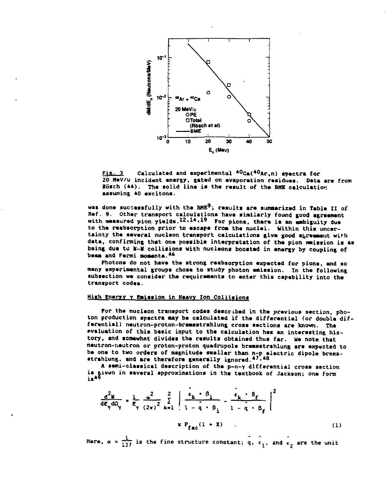

Fix. 3 Calculated and experimental <sup>40</sup>Ca(<sup>40</sup>Ar,n) spectra for **20 MeV/u incident energy, gated on evaporation residues. Data are from Rosen (»«). The solid line is the result of the BME calculation assuming 40 excitons.** 

**was done successfully with the SHE<sup>9</sup> ; results arc summarized in Table II of Ref. 9. Other transport calculations have similarly found good agreement with measured pion yields.1 2 ' <sup>1</sup> \* -<sup>1</sup> <sup>8</sup> For pions, there is an ambiguity due to the reabsorption prior to escape from the nuclei. Within thia uncer**tainty the several nucleon transport calculations give good agreement with data, confirming that one possible interpretation of the pion emission is as **being due to li-H collisions with nucleons boosted in energy by coupling of beam and Fermi momenta.\*<sup>6</sup>**

**Photons do not have the strong reabsorption expected for pions, and so many experimental groups chose to study photon emission. In the following subsection we consider the requirements to enter this capability into the transport codes.** 

## **High Energy Y Emission in Heavy Ion Collisions**

**For the nucleon transport codas described in the previous section, pho**ton production spectra may be calculated if the differential (or double dif**ferantial) neutron-protcn-bremsstrahlung cross sections are known. The evaluation of this basic input to the calculation has an interesting history, and somewhat divides tha results obtained thus far. Ha note that neutron-neutron or proton-proton quadrupole bremsstrehlung are expected to be one to two orders of magnitude smaller than n-p electric dipole bremsstrehlung, and are therefore generally ignored.\*7\*\*<sup>8</sup>**

**A semi-classical description of the p-n-y differential cross section**  is given in saveral approximations in the textbook of Jackson; one form<br>is<sup>49</sup>

$$
\frac{d^2 w}{d E_{\gamma} d \Omega_{\gamma}} = \frac{1}{E_{\gamma}} \frac{a^2}{(2\pi)^2} \sum_{k=1}^{2} \left| \frac{c_k \cdot \beta_i}{1 - \bar{q} \cdot \beta_i} - \frac{c_k \cdot \beta_f}{1 - \bar{q} \cdot \beta_f} \right|^2
$$
  
×  $P_{fac}(1 + X)$  (1)

**Here,**  $\alpha = \frac{1}{137}$  **is the fine structure constant; q, c<sub>1</sub>, and c<sub>2</sub> are the unit**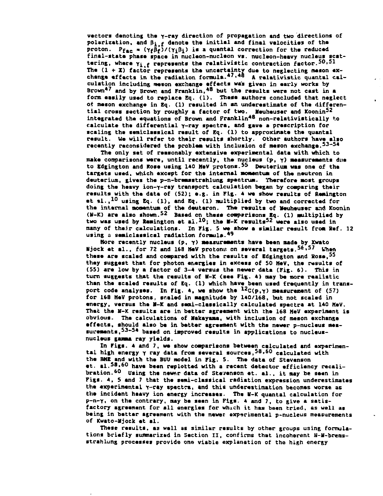**vectors denoting tha Y-ray direction of propagation and two directions of**  polarization, and  $\beta_{i,f}$  denote the initial and final velocities of the **proton.** P<sub>fac</sub> =  $(\gamma_f \beta_f)/(\gamma_i \beta_i)$  is a quantal correction for the raduced **final-state phase space in nuclaon-nuciaon vs. nucleon-heavy nucleus scattering, where Yi.f represents tha ralativistic contraction factor.5 0 \* 5 1**  The (1 + X) factor represents the uncertainty due to neglecting meson ex-<br>change effects in the radiation formula.<sup>47</sup> <sup>48</sup> A relativistic quantal cal**culation including meson exchange effects was given in early works by Brown\*7 and by Brown and Franklin,\*8 but tha results were not cast in a form eaaily used to replace Eq. (1). These authors concluded that neglect o\* mason exchange in Eq. (1) resulted in an underestimate of tha differential cross section by roughly a factor of two. Meuheuser and Koonin<sup>5</sup> <sup>2</sup> integrated the equations of Brown and Franklin\*8 non-relativistically to calculate the differential Y-ray spectra, and gave a prescription for scaling the semiclessical result of Eq. (1) to approximate the quantal result. We will refer to their results shortly. Othar authors have also recently reconsidered the problem with inclusion of meson exchange.5\*\*- 5\*** 

**Tha only set of reasonably extensive experimental data with which to make comparisons wars, until recently, tha nucleus (p,** *y)* **measurements due to Edgington and Rose using 140 MaV protons.<sup>5</sup> <sup>5</sup> Deuterium was one of the targets used, which except for the internal momentum of tha neutron in deuterium, gives the p-n-bramsstrahlung spectrum. Therefore most groups doing the heavy ion-f-ray transport calculation began by comparing their results with the data of (52); e.g. in Fig. 4 we show results of Remington at il., <sup>1</sup> <sup>0</sup> using Eq. (1), and Eq. (1) multiplied by two and corractad for the internal momentum of the deutaron. The results of Heuheuser and Koonin (W-K) ara also shown.<sup>5</sup> <sup>2</sup> Based on thesa comparisons Eq. (1) multiplied by two was used by Remington at ai. 1 0 ; tha H-K results<sup>5</sup> <sup>2</sup> were also used in many of their calculations. In Fig. 5 we show a similar result from Ref. 12 using a semiclaasical radiation formula.\*<sup>9</sup>**

**More recently nucleus (p.** *y)* **measurements have been made by Kwato Hjock at al., for 72 and 1\*8 MaV protomt on several targets.5 6 \* <sup>5</sup> <sup>7</sup> When these are scaled and compared with the results of Edgington and Rose,<sup>5</sup> <sup>5</sup> they suggest that for photon energies in excess of 50 MeV, the results of (55) are low by a factor of 3-4 versus the newer data (Fig. 6). This in**  turn suggests that the results of M-K (see Fig. 4) may be more realistic **than the scaled results of Eq. (1) which have been used frequently in transport coda analysas. In Fig. 4, we show tha <sup>12</sup> C(p,Y> measurement of (57) for 168 HeV protons, scaled in magnitude by 140/168, but not scaled in energy, versus the V-1C and semi-classically calculated spectra at 140 MaV.**  That the N-K results are in better agreement with the 168 HeV experiment is **obvious. The calculation\* of Makayama, with inclusion of meson exchange effects, should also be in better agreement with the newer p-nucleus mea**surements,<sup>53-54</sup> based on improved results in applications to nucleus**nucleus gamma ray yields.** 

**In Figs. 4 and 7, wa show comparisons between calculated and experimental high energy Y ray data from saveral sources,5 8 ' <sup>6</sup> <sup>0</sup> calculated with the BHE and with tha BUU model in Fig. 5. The data of Stevenson et. al. 5 8 \* <sup>6</sup> <sup>0</sup> have been replotted with a recent detector efficiency recalibration.<sup>6</sup> <sup>0</sup> Using tha ntwx data of Stevenson et. al., it may be seen in Figs. 4, 5 and 7 that the semi-classical radiation expression underestimates the experimental Y-ray spectra, and this underestimation becomes worse as the incidant haavy ion energy increases. The U-K quantal calculation for p-n-Y, on tha contrary, may ba seen in Figs. 4 end 7, to give a satisfactory agreement for all energies for which it has been tried, as well as being in better agreement with the newer experimental p-nucleus measurements of Kwato-Mjock et al.** 

**These results, as wall as similar results by other groups using formula**tions briefly summarized in Section II, confirms that incoherent N-M-brems**strahlung processes provide one viable explanation of the high energy**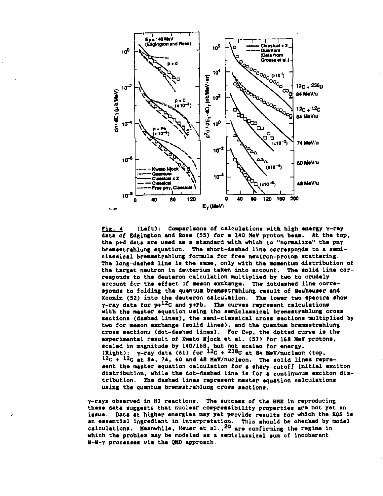

**EiL. (Left): Comparisons of calculations with high energy Y-ray data of Edgington and Rose (55) for a 140 SaV proton beaa. At the top, the p+d data ara used as a standard with which to "normalize" the pay breasstrahlung equation. The short-dashed line corresponds to a semiclassical bremsstrahlung formula for free neutron-proton scattering. The long-dashed line is the same, only with the momentum distribution of**  the target neutron in deuterium taken into account. The solid line cor**responds to the deutaron calculation multiplied by two to crudely account for the effect of meson exchange. The dotdashed line corresponds to folding the quantum bremsstrahlung result of Vauheuser and Xoonir. (52) into the deuteron calculation. The lower two spectra show Y-ray data for p+ 1 2 C and p+Pb. The curves represent calculations with the master equation using tho semiclassical bremsstrahlung cross sections (dashed lines), the semi-classical cross sections multiplied by two for meson exchange (solid lines), and the quantum bremsatrahlung cross section? (dot-dashed lines). For C+p, the dotted curve is the experimental result of Kwato lljock at al. (57) For 168 MaV protons, scaled in magnitude by 1\*0/168, but not scaled for energy. (Bight): y-ray data (61) for <sup>12</sup> C +<sup>238</sup> u at 84 MeV/nucleor (top, 1 2c + 12C m <sup>t</sup> 84, 74, 60 and 48 MeV/nucleon. The solid lines represent the master equation calculation for a sharp-cutoff initial exciton distribution, while the dot-dashed lina is for a continuous exciton distribution. The dashed Lines represent master equation calculations using the quantum bramsitrahlung cross sections.** 

**Y-rays observed in HI reactions. The success of the BME in reproducing these data suggests that nuclear compressibility properties are not yet an issue. Data at higher energies may yet provide results for which the EOS is an essential ingredient in interpretation. This should be checked by model calculations. Meanwhile, Heuer et al., <sup>2</sup> <sup>0</sup> are confirming the regime in which the problem may be modeled as a semiclassical sum of incoherent IT-H-Y processes via the QMD approach.**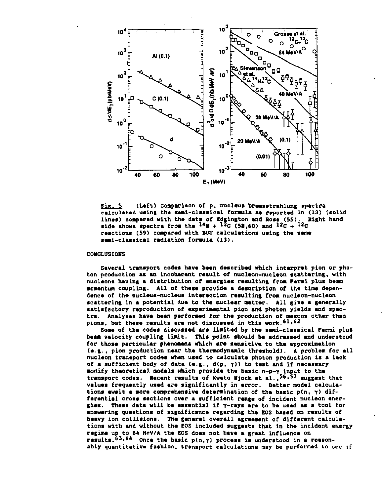

**Fin. S (Left) Comparison of p. nucleus bremsstrahlung spectra calculated using tha semi-classical fonaula as raportad in (13) (solid linas) compared with tha data of Edgington and Rosa (55). Right hand**   $\mathbf{A} = \mathbf{B}$  is the spactra from the  $\mathbf{A} = \mathbf{B} + \mathbf{B}$  and  $\mathbf{B} = \mathbf{B}$  and  $\mathbf{B} = \mathbf{B}$ **raactions (59) compared with BUU calculations using tha same semi-classical radiation fonaula (13).** 

### **CONCLUSIONS**

Several transport codes have been described which interpret pion or pho**ton, production as an incoherent raault of nucleon-nuclaon scattarins, with nuclaons having \* distribution of anargias rasulting from Fermi plus baam momentum coupling. All of thasa provida a dascriptlon of tha time dependanca of tha nuclaus-nuclaus intaraction rasulting from nucleon-nucleon scattaring in a potential dua to tha nuclaar natter. All give a generally satisfactory reproduction of experimental pion and photon yields and spectra. Analyses hava baan perfonaed for tha production of awaons other than**   $\mathbf{p}$  ions, but these results are not discussed in this work. $\mathbf{^{61,62}}$ 

**Sons of tha codas discussad ara limited by tha semi-classical Farmi plus beam velocity coupling limit. This point should be addressed and understood for those particular phenomena which ara sensitive to tha approximation (e.g., pion production near tha thermodynamic threshold). A problem for all nucleon transport codas whan used to calculate photon production is a lack of a sufficient body of data (e.g., d(p,** *y))* **to test and if necessary mortify theoretical models which provide the basic n-p-Y input to tha**  transport codes. Recent results of Kwato Wjock et al.,<sup>56,57</sup> suggest that **values frequently used ara significantly in error. Batter model calculations await a mora comprehensive determination of the basic p(n, y) differential cross sections over a sufficient range of incident nucleon energies. These data will be essential if Y-rays ara to be used as a tool for answering questions of significance regarding the EOS based on results of heavy ion collisions. The general overall agreement of different calculations with and without tha EOS included suggests that in the incident energy regime up to 84 MeV/A the EOS does not have a great influence on results.63,64 once tha basic p(n,y) process is understood in a reasonably quantitative fashion, transport calculations may be performed to see if**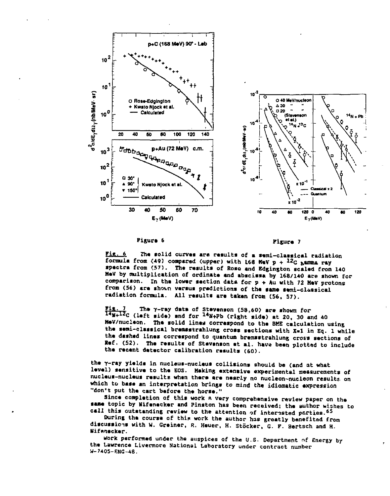

## **Figure 6 Figure 7**

**Fig. 6** The solid curves are results of a semi-classical radiation **formula from (49) compared (upper) with 148 K«V p + l2 c &amaa ray ipectra from <57). The reaulta of Roee and Edgington scaled from 140 HeV by multiplication of ordinate and abscissa by 168/140 are shown for comparison. In the lower section data for p + Au with 72 MeV protons from (56) are shown versus predictions of the same semi-classical radiation formula. All results are taken from (56, 57).** 

**Fig. 7** The  $\gamma$ -ray data of Stevenson (58,60) are shown for<br>14 +<sup>12</sup>C (left side) and for <sup>14</sup> \*+Pb (right side) at 20, 30 and 40 **MeV/nucleon. The solid lines correspond to the BME calculation using the semi-classical bremsstrahlung cross sections with x»l in Eq. 1 while the dashed lines correspond to quantum bremsstrahlung cross sections of Ref. (52). The results of Stevenson et al. have been plotted to include the recent detector calibration results (60).** 

**the r-ray yields in nucleus-nucleus collisions should be (and at what level) sensitive to the EOS. Making extensive experimental measurements of nucleus-nucleus results when there are nearly no nucleon-nucleon results, on which to base an interpretation brings to mind the idiomatic expression "don't put the cart before the horse."** 

**Since completion of this work a very comprehensive review paper on the same topic by Nifenecker and Pinston has been received; the author wishes to call this outstanding review to the attention of interested parties.<sup>6</sup> <sup>5</sup>**

**During the course of thin work the author has greatly benefited from**  discussions with W. Greiner, R. Heuer, H. Stöcker, G. F. Bertsch and H. **Hifenacker.** 

**work performed under the auspices of the U.S. Department nf Energy by the Lawrence Livermore National Laboratory under contract number W-7405-ENC-48.**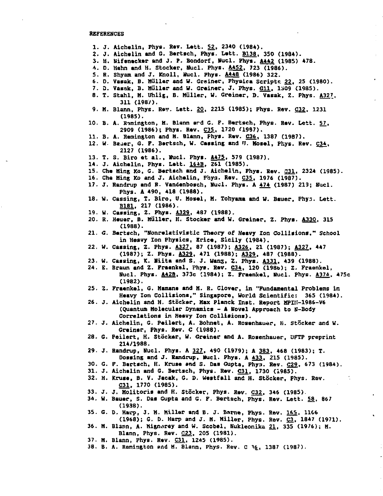#### **REFERENCES**

- **1. J. Aiehelin, Phys. Rev. Lett. 52, 23\*0 (1984).**
- **2. J. Aichelin and G. Bertsch, Phys. Lett. B138. 350 (1984).**
- **3. H. Nifeneeker and J. ?. Bondorf, Hucl. Phys. A442 (19B5) 478.**
- **4. D. Hahn and H. Stocker, Duel. Phys. A452. 723 (1986).**
- **5. R. Shyan and J. Knoll, Hucl. Phys. A448 (1986) 322.**
- **6. D. Vasak, B. Müller and W. Grsiner, Physica Scripto 22, 25 (1980).**
- 7. D. Vasak, B. Hüller and W. Greiner, J. Phys. **G11**, 1309 (1985).
- **8. T. Stahl, H. Uhlig, B. Muller, W. Greiner, D. Vasak, Z. Phys. A327, 311 (198/).**
- **9. H. Blann, Phys. Rev. Lett. 20, 2215 (1985); Phys. Rev. C32, 1231 (1985).**
- 10. B. A. Remington, H. Blann ard G. F. Bertsch, Phys. Rev. Lett. 57, **2909 (1986); Phys. Rev. C35., 1720 (1937).**
- **11. B. A. Remington and M. Blann, Phys. Rev. C36., 1387 (1987).**
- **12. W- Bauer, G. F. Bertsch, U. Cassing and 'I. Hosel, Phys. Rev. C34. 2127 (1986).**
- **13. T. S. Biro et al., Kiel. Phys. A475, 579 (1987).**
- **14. J. Aichelin, Phys. Lett. 164B. 261 (1985).**
- **15. Che King Xo, G. Bertsch and J. Aichelin, Phys. Rev. 031, 2324 (1985).**
- **16. Che Ming Ko and J. Aichalin, Fhya. Rev. C35. 1976 (1987).**
- **17. J. Randrup and R. Vandenbosch, Hucl. Phys. A 474. (1987) 219; Hucl. Fhys. A 490, 418 (1988).**
- 18. W. Cassing, T. Biro, U. Mosel, M. Tohyama and W. Bauer, Phys. Lett. **B181. 217 (1986).**
- **19. W. Cassing, Z. Phys. A329, 487 (1988).**
- **20. R. Heuer, B. Muller, K. Stocker and W. Greiner, Z. Phys. A330. 315 (1988).**
- **21. G. Bertsch, "Itonrslativistlc Theory of Heavy Ion Collisions," School in Heavy Ion Physics, Erice, Sicily (1984).**
- **22. W. Cassing, Z. Fhys. A327. 87 (1987); A326. 21 (1987); A327. 447 (1987); Z. Phys. A329, 471 (1988); A329. 487 (1988).**
- **23. W. Cassing, K. Hiita and S. J. Wans, Z. Phys. A331. 439 (1988).**
- **24. E. Braun and Z. Fraankel, Phys. Rev. C34. 120 (198b); z. Fraenkel, Hucl. Phys. A42B, 373c (1984); Z. Fraenkel, Itucl. Phys. A374. 475c (1982).**
- **25. Z. Fraenkel, G. Mamane and H. R. Clover, in "Fundamental Problems in Heavy Ion Collisions," Singapore, World Scientific: 365 (1984).**
- **26. J. Aichelin and H. Stacker, Max Planck Inst. Report MPIII-1986-V6 (Quantum Molecular Dynamics - A Novel Approach to H-Body Correlations in Heavy Ion Collisions).**
- **27. J. Aichelin, G. Peilert, A. Bonnet, A. Rosanhauer, H. Stacker and W. Greiner, Fhys. Rev. C (1988).**
- **28. G. Feilert, H. Stocker, U. Greiner and A. Rosenhauer, UFTP preprint 214/1988.**
- **29. J. Randrup, Hucl. Phys. A 327., 490 (1979); A 382, 468 (1983); T. Dossing and J. Randrup, Hucl. Phys. A 433., 215 (1985).**
- **30. G. F. Bartsch, K. Kruse and S. Das Gupta, Phys. Rev. 09 , 673 (1984).**
- **31. J. Aichelin and G. Bertsch, Phys. Rev. CJU, 1730 (1985).**
- **32. H. Kruse, B. V. Jacak, G. D. Westfall and H. Stocker, Phys. Rev. C31. 1770 (1985).**
- **33. J. J. Molitoris and H. Stocker, Phys. Rev. C32, 346 (1985).**
- **34. W. Bauer, S. Das Gupta and G. F. Bertsch, Phys. Rev. Lett. 58. 867 (1938).**
- **35. G. D. Harp,** *3.* **M. Killer and B. J. Berne, Phys. Rev. 165., 1166 (1968); G. D. Harp and J. M. Miller, Phys. Rev. C3, 1847 (1971).**
- **36. M. Blann, A. Mignarey and W. Scobel, Nukleonika 21, 335 (1976); M. Blann, Phys. Rev. £23, 205 (1981).**
- **37. M. Blann, Phys. Rev. C31, 1245 (1985).**
- **38. B. A. Remington and M. Blann, Phys. Rev. C 16, 1387 (1987).**